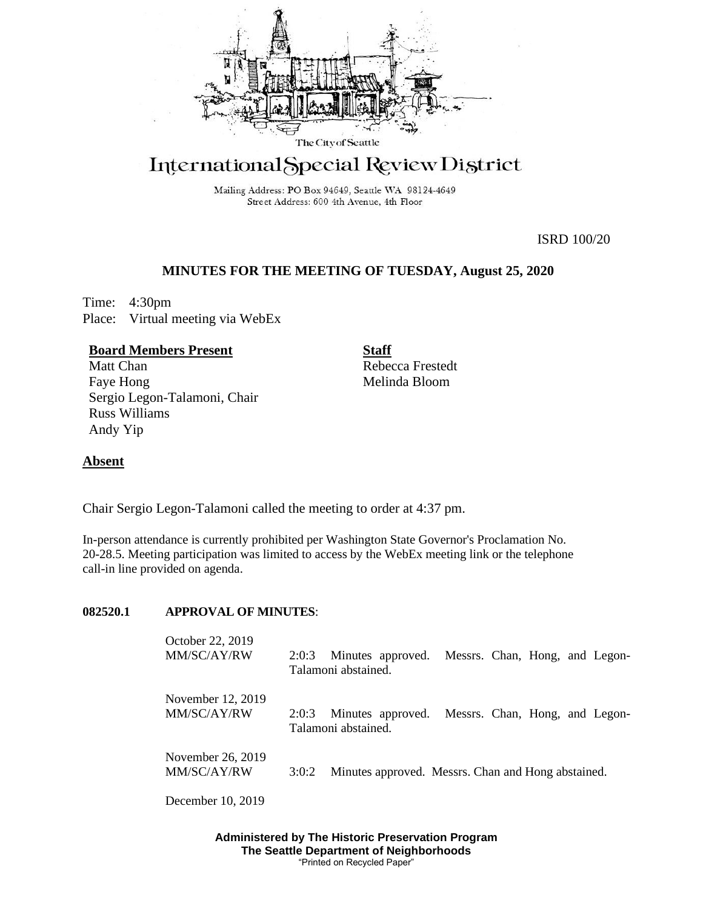

# International Special Review District

Mailing Address: PO Box 94649, Seattle WA 98124-4649 Street Address: 600 4th Avenue, 4th Floor

ISRD 100/20

# **MINUTES FOR THE MEETING OF TUESDAY, August 25, 2020**

Time: 4:30pm Place: Virtual meeting via WebEx

# **Board Members Present**

Matt Chan Faye Hong Sergio Legon-Talamoni, Chair Russ Williams Andy Yip

**Staff** Rebecca Frestedt Melinda Bloom

# **Absent**

Chair Sergio Legon-Talamoni called the meeting to order at 4:37 pm.

In-person attendance is currently prohibited per Washington State Governor's Proclamation No. 20-28.5. Meeting participation was limited to access by the WebEx meeting link or the telephone call-in line provided on agenda.

#### **082520.1 APPROVAL OF MINUTES**:

| October 22, 2019<br>MM/SC/AY/RW  | 2:0:3 | Minutes approved.<br>Talamoni abstained.                                | Messrs. Chan, Hong, and Legon- |  |  |
|----------------------------------|-------|-------------------------------------------------------------------------|--------------------------------|--|--|
| November 12, 2019<br>MM/SC/AY/RW | 2:0:3 | Minutes approved. Messrs. Chan, Hong, and Legon-<br>Talamoni abstained. |                                |  |  |
| November 26, 2019<br>MM/SC/AY/RW | 3:0:2 | Minutes approved. Messrs. Chan and Hong abstained.                      |                                |  |  |

December 10, 2019

**Administered by The Historic Preservation Program The Seattle Department of Neighborhoods** "Printed on Recycled Paper"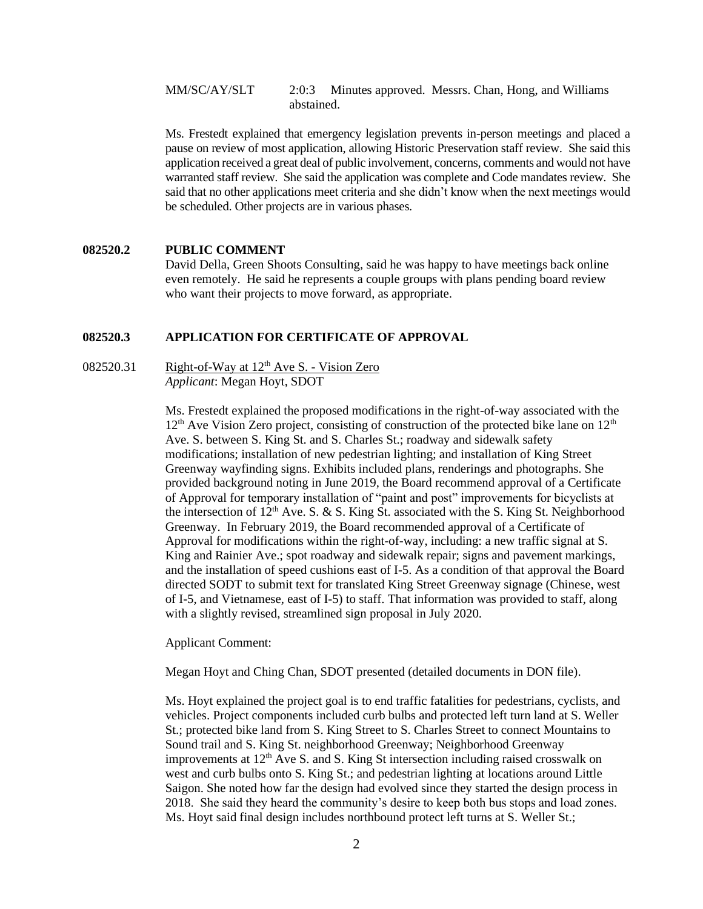MM/SC/AY/SLT 2:0:3 Minutes approved. Messrs. Chan, Hong, and Williams abstained.

Ms. Frestedt explained that emergency legislation prevents in-person meetings and placed a pause on review of most application, allowing Historic Preservation staff review. She said this application received a great deal of public involvement, concerns, comments and would not have warranted staff review. She said the application was complete and Code mandates review. She said that no other applications meet criteria and she didn't know when the next meetings would be scheduled. Other projects are in various phases.

#### **082520.2 PUBLIC COMMENT**

David Della, Green Shoots Consulting, said he was happy to have meetings back online even remotely. He said he represents a couple groups with plans pending board review who want their projects to move forward, as appropriate.

#### **082520.3 APPLICATION FOR CERTIFICATE OF APPROVAL**

082520.31 Right-of-Way at  $12<sup>th</sup>$  Ave S. - Vision Zero *Applicant*: Megan Hoyt, SDOT

> Ms. Frestedt explained the proposed modifications in the right-of-way associated with the  $12<sup>th</sup>$  Ave Vision Zero project, consisting of construction of the protected bike lane on  $12<sup>th</sup>$ Ave. S. between S. King St. and S. Charles St.; roadway and sidewalk safety modifications; installation of new pedestrian lighting; and installation of King Street Greenway wayfinding signs. Exhibits included plans, renderings and photographs. She provided background noting in June 2019, the Board recommend approval of a Certificate of Approval for temporary installation of "paint and post" improvements for bicyclists at the intersection of  $12<sup>th</sup>$  Ave. S. & S. King St. associated with the S. King St. Neighborhood Greenway. In February 2019, the Board recommended approval of a Certificate of Approval for modifications within the right-of-way, including: a new traffic signal at S. King and Rainier Ave.; spot roadway and sidewalk repair; signs and pavement markings, and the installation of speed cushions east of I-5. As a condition of that approval the Board directed SODT to submit text for translated King Street Greenway signage (Chinese, west of I-5, and Vietnamese, east of I-5) to staff. That information was provided to staff, along with a slightly revised, streamlined sign proposal in July 2020.

Applicant Comment:

Megan Hoyt and Ching Chan, SDOT presented (detailed documents in DON file).

Ms. Hoyt explained the project goal is to end traffic fatalities for pedestrians, cyclists, and vehicles. Project components included curb bulbs and protected left turn land at S. Weller St.; protected bike land from S. King Street to S. Charles Street to connect Mountains to Sound trail and S. King St. neighborhood Greenway; Neighborhood Greenway improvements at  $12<sup>th</sup>$  Ave S. and S. King St intersection including raised crosswalk on west and curb bulbs onto S. King St.; and pedestrian lighting at locations around Little Saigon. She noted how far the design had evolved since they started the design process in 2018. She said they heard the community's desire to keep both bus stops and load zones. Ms. Hoyt said final design includes northbound protect left turns at S. Weller St.;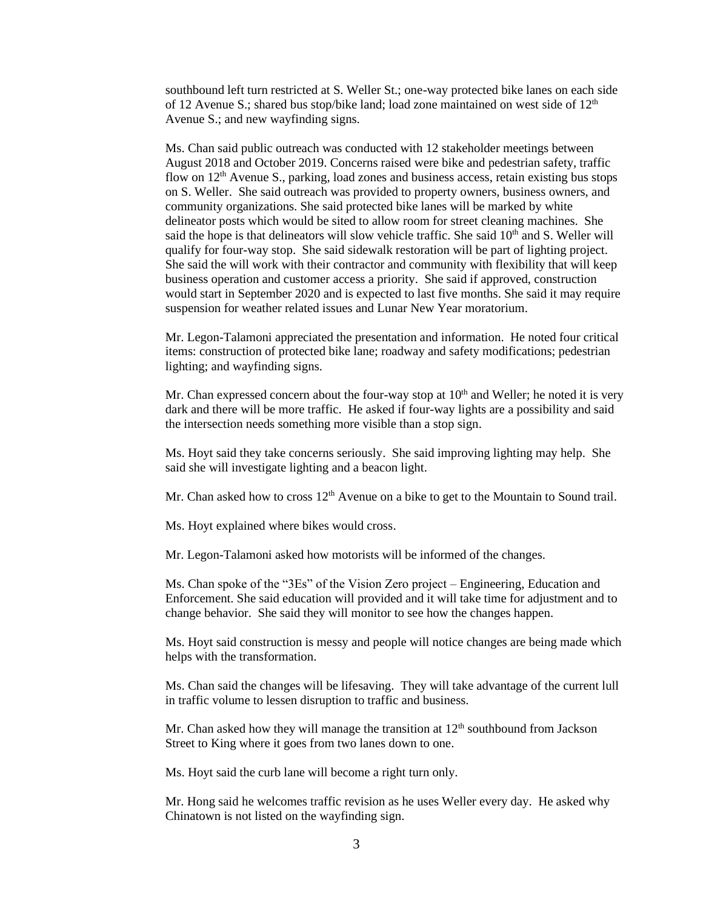southbound left turn restricted at S. Weller St.; one-way protected bike lanes on each side of 12 Avenue S.; shared bus stop/bike land; load zone maintained on west side of  $12<sup>th</sup>$ Avenue S.; and new wayfinding signs.

Ms. Chan said public outreach was conducted with 12 stakeholder meetings between August 2018 and October 2019. Concerns raised were bike and pedestrian safety, traffic flow on  $12<sup>th</sup>$  Avenue S., parking, load zones and business access, retain existing bus stops on S. Weller. She said outreach was provided to property owners, business owners, and community organizations. She said protected bike lanes will be marked by white delineator posts which would be sited to allow room for street cleaning machines. She said the hope is that delineators will slow vehicle traffic. She said  $10<sup>th</sup>$  and S. Weller will qualify for four-way stop. She said sidewalk restoration will be part of lighting project. She said the will work with their contractor and community with flexibility that will keep business operation and customer access a priority. She said if approved, construction would start in September 2020 and is expected to last five months. She said it may require suspension for weather related issues and Lunar New Year moratorium.

Mr. Legon-Talamoni appreciated the presentation and information. He noted four critical items: construction of protected bike lane; roadway and safety modifications; pedestrian lighting; and wayfinding signs.

Mr. Chan expressed concern about the four-way stop at  $10<sup>th</sup>$  and Weller; he noted it is very dark and there will be more traffic. He asked if four-way lights are a possibility and said the intersection needs something more visible than a stop sign.

Ms. Hoyt said they take concerns seriously. She said improving lighting may help. She said she will investigate lighting and a beacon light.

Mr. Chan asked how to cross  $12<sup>th</sup>$  Avenue on a bike to get to the Mountain to Sound trail.

Ms. Hoyt explained where bikes would cross.

Mr. Legon-Talamoni asked how motorists will be informed of the changes.

Ms. Chan spoke of the "3Es" of the Vision Zero project – Engineering, Education and Enforcement. She said education will provided and it will take time for adjustment and to change behavior. She said they will monitor to see how the changes happen.

Ms. Hoyt said construction is messy and people will notice changes are being made which helps with the transformation.

Ms. Chan said the changes will be lifesaving. They will take advantage of the current lull in traffic volume to lessen disruption to traffic and business.

Mr. Chan asked how they will manage the transition at  $12<sup>th</sup>$  southbound from Jackson Street to King where it goes from two lanes down to one.

Ms. Hoyt said the curb lane will become a right turn only.

Mr. Hong said he welcomes traffic revision as he uses Weller every day. He asked why Chinatown is not listed on the wayfinding sign.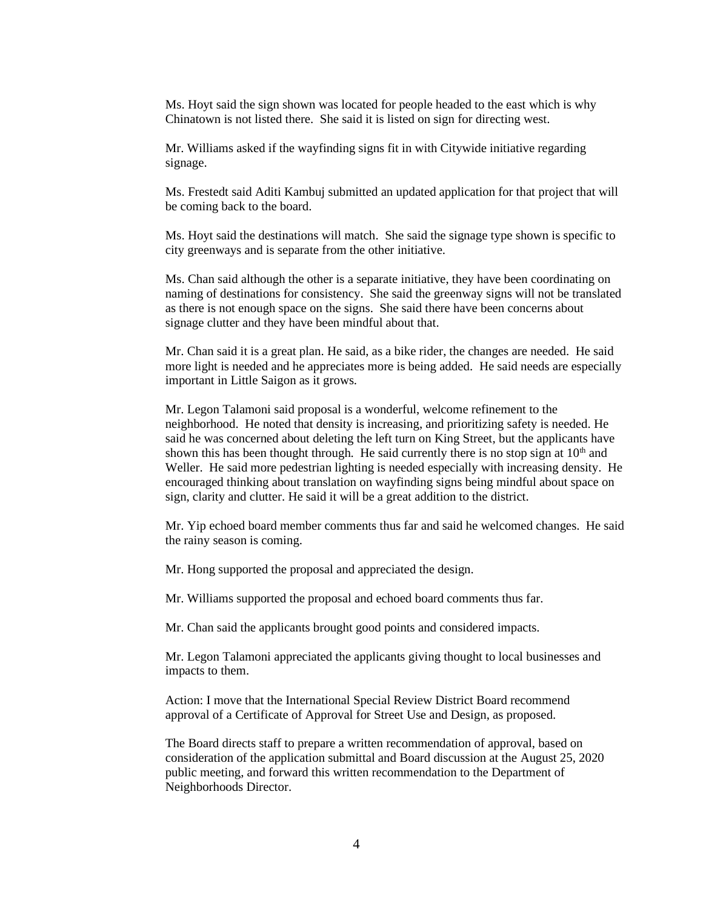Ms. Hoyt said the sign shown was located for people headed to the east which is why Chinatown is not listed there. She said it is listed on sign for directing west.

Mr. Williams asked if the wayfinding signs fit in with Citywide initiative regarding signage.

Ms. Frestedt said Aditi Kambuj submitted an updated application for that project that will be coming back to the board.

Ms. Hoyt said the destinations will match. She said the signage type shown is specific to city greenways and is separate from the other initiative.

Ms. Chan said although the other is a separate initiative, they have been coordinating on naming of destinations for consistency. She said the greenway signs will not be translated as there is not enough space on the signs. She said there have been concerns about signage clutter and they have been mindful about that.

Mr. Chan said it is a great plan. He said, as a bike rider, the changes are needed. He said more light is needed and he appreciates more is being added. He said needs are especially important in Little Saigon as it grows.

Mr. Legon Talamoni said proposal is a wonderful, welcome refinement to the neighborhood. He noted that density is increasing, and prioritizing safety is needed. He said he was concerned about deleting the left turn on King Street, but the applicants have shown this has been thought through. He said currently there is no stop sign at  $10<sup>th</sup>$  and Weller. He said more pedestrian lighting is needed especially with increasing density. He encouraged thinking about translation on wayfinding signs being mindful about space on sign, clarity and clutter. He said it will be a great addition to the district.

Mr. Yip echoed board member comments thus far and said he welcomed changes. He said the rainy season is coming.

Mr. Hong supported the proposal and appreciated the design.

Mr. Williams supported the proposal and echoed board comments thus far.

Mr. Chan said the applicants brought good points and considered impacts.

Mr. Legon Talamoni appreciated the applicants giving thought to local businesses and impacts to them.

Action: I move that the International Special Review District Board recommend approval of a Certificate of Approval for Street Use and Design, as proposed.

The Board directs staff to prepare a written recommendation of approval, based on consideration of the application submittal and Board discussion at the August 25, 2020 public meeting, and forward this written recommendation to the Department of Neighborhoods Director.